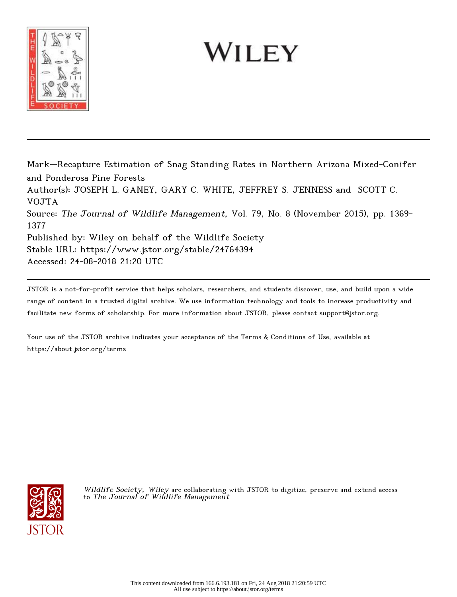

# WILEY

Mark–Recapture Estimation of Snag Standing Rates in Northern Arizona Mixed-Conifer and Ponderosa Pine Forests Author(s): JOSEPH L. GANEY, GARY C. WHITE, JEFFREY S. JENNESS and SCOTT C. VOJTA Source: The Journal of Wildlife Management, Vol. 79, No. 8 (November 2015), pp. 1369- 1377 Published by: Wiley on behalf of the Wildlife Society Stable URL: https://www.jstor.org/stable/24764394 Accessed: 24-08-2018 21:20 UTC

JSTOR is a not-for-profit service that helps scholars, researchers, and students discover, use, and build upon a wide range of content in a trusted digital archive. We use information technology and tools to increase productivity and facilitate new forms of scholarship. For more information about JSTOR, please contact support@jstor.org.

Your use of the JSTOR archive indicates your acceptance of the Terms & Conditions of Use, available at https://about.jstor.org/terms



Wildlife Society, Wiley are collaborating with JSTOR to digitize, preserve and extend access to The Journal of Wildlife Management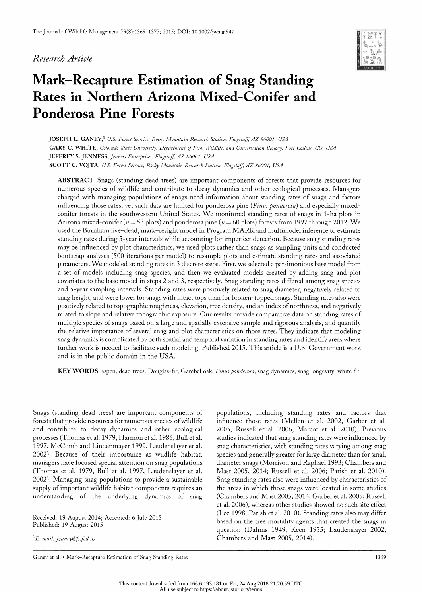#### Research Article



# Mark-Recapture Estimation of Snag Standing Rates in Northern Arizona Mixed-Conifer and Ponderosa Pine Forests

 JOSEPH L. GANEY,1 U.S. Forest Se; JOSEPH L. GANEY,' U.S. Forest Service, Rocky Mountain Research Station, Flagstaff, AZ 86001, USA GARY C. WHITE, Colorado State Ut GARY C. WHITE, Colorado State University, Department of Fish, Wildlife, and Conservation Biology, Fort Collins, CO, USA JEFFREY S. JENNESS, Jenness Ente JEFFREY S. JENNESS, Jenness Enterprises, Flagstaff, AZ 86001, USA SCOTT C. VOJTA, U.S. Forest Servi SCOTT C. VOJTA, U.S. Forest Service, Rocky Mountain Research Station, Flagstaff, AZ 86001, USA

 ABSTRACT Snags (standing dead trees) are important components of forests that provide resources for numerous species of wildlife and contribute to decay dynamics and other ecological processes. Managers charged with managing populations of snags need information about standing rates of snags and factors influencing those rates, yet such data are limited for ponderosa pine (Pinus ponderosa) and especially mixed conifer forests in the southwestern United States. We monitored standing rates of snags in 1-ha plots in Arizona mixed-conifer ( $n = 53$  plots) and ponderosa pine ( $n = 60$  plots) forests from 1997 through 2012. We used the Burnham live-dead, mark-resight model in Program MARK and multimodel inference to estimate standing rates during 5-year intervals while accounting for imperfect detection. Because snag standing rates may be influenced by plot characteristics, we used plots rather than snags as sampling units and conducted bootstrap analyses (500 iterations per model) to resample plots and estimate standing rates and associated parameters. We modeled standing rates in 3 discrete steps. First, we selected a parsimonious base model from a set of models including snag species, and then we evaluated models created by adding snag and plot covariates to the base model in steps 2 and 3, respectively. Snag standing rates differed among snag species and 5-year sampling intervals. Standing rates were positively related to snag diameter, negatively related to snag height, and were lower for snags with intact tops than for broken-topped snags. Standing rates also were positively related to topographic roughness, elevation, tree density, and an index of northness, and negatively related to slope and relative topographic exposure. Our results provide comparative data on standing rates of multiple species of snags based on a large and spatially extensive sample and rigorous analysis, and quantify the relative importance of several snag and plot characteristics on those rates. They indicate that modeling snag dynamics is complicated by both spatial and temporal variation in standing rates and identify areas where further work is needed to facilitate such modeling. Published 2015. This article is a U.S. Government work and is in the public domain in the USA.

KEY WORDS aspen, dead trees, Douglas-fir, Gambel oak, Pinus ponderosa, snag dynamics, snag longevity, white fir.

 Snags (standing dead trees) are important components of forests that provide resources for numerous species of wildlife and contribute to decay dynamics and other ecological processes (Thomas et al. 1979, Harmon et al. 1986, Bull et al. 1997, McComb and Lindenmayer 1999, Laudenslayer et al. 2002). Because of their importance as wildlife habitat, managers have focused special attention on snag populations (Thomas et al. 1979, Bull et al. 1997, Laudenslayer et al. 2002). Managing snag populations to provide a sustainable supply of important wildlife habitat components requires an understanding of the underlying dynamics of snag

 Received: 19 August 2014; Accepted: 6 July 2015 Published: 19 August 2015

 $E$ -mail: jganey@fs.fed.us

 populations, including standing rates and factors that influence those rates (Mellen et al. 2002, Garber et al. 2005, Russell et al. 2006, Marcot et al. 2010). Previous studies indicated that snag standing rates were influenced by snag characteristics, with standing rates varying among snag species and generally greater for large diameter than for small diameter snags (Morrison and Raphael 1993; Chambers and Mast 2005, 2014; Russell et al. 2006; Parish et al. 2010). Snag standing rates also were influenced by characteristics of the areas in which those snags were located in some studies (Chambers and Mast 2005, 2014; Garber et al. 2005; Russell et al. 2006), whereas other studies showed no such site effect (Lee 1998, Parish et al. 2010). Standing rates also may differ based on the tree mortality agents that created the snags in question (Dahms 1949; Keen 1955; Laudenslayer 2002; Chambers and Mast 2005, 2014).

Ganey et al. • Mark-Recapture Estimation of Snag Standing Rates 1369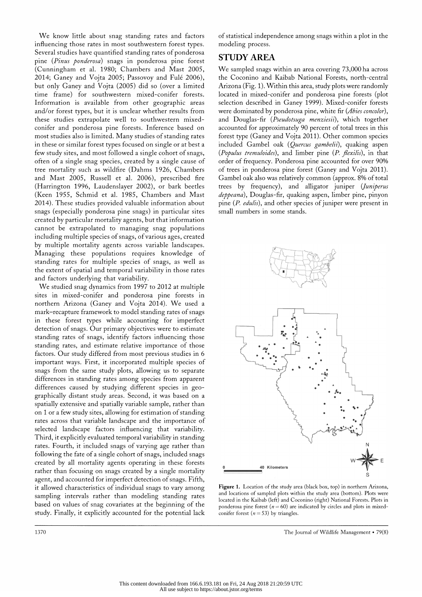We know little about snag standing rates and factors influencing those rates in most southwestern forest types. Several studies have quantified standing rates of ponderosa pine (Pinus ponderosa) snags in ponderosa pine forest (Cunningham et al. 1980; Chambers and Mast 2005, 2014; Ganey and Vojta 2005; Passovoy and Fulé 2006), but only Ganey and Vojta (2005) did so (over a limited time frame) for southwestern mixed-conifer forests. Information is available from other geographic areas and/or forest types, but it is unclear whether results from these studies extrapolate well to southwestern mixed conifer and ponderosa pine forests. Inference based on most studies also is limited. Many studies of standing rates in these or similar forest types focused on single or at best a few study sites, and most followed a single cohort of snags, often of a single snag species, created by a single cause of tree mortality such as wildfire (Dahms 1926, Chambers and Mast 2005, Russell et al. 2006), prescribed fire (Harrington 1996, Laudenslayer 2002), or bark beetles (Keen 1955, Schmid et al. 1985, Chambers and Mast 2014). These studies provided valuable information about snags (especially ponderosa pine snags) in particular sites created by particular mortality agents, but that information cannot be extrapolated to managing snag populations including multiple species of snags, of various ages, created by multiple mortality agents across variable landscapes. Managing these populations requires knowledge of standing rates for multiple species of snags, as well as the extent of spatial and temporal variability in those rates and factors underlying that variability.

 We studied snag dynamics from 1997 to 2012 at multiple sites in mixed-conifer and ponderosa pine forests in northern Arizona (Ganey and Vojta 2014). We used a mark-recapture framework to model standing rates of snags in these forest types while accounting for imperfect detection of snags. Our primary objectives were to estimate standing rates of snags, identify factors influencing those standing rates, and estimate relative importance of those factors. Our study differed from most previous studies in 6 important ways. First, it incorporated multiple species of snags from the same study plots, allowing us to separate differences in standing rates among species from apparent differences caused by studying different species in geo graphically distant study areas. Second, it was based on a spatially extensive and spatially variable sample, rather than on 1 or a few study sites, allowing for estimation of standing rates across that variable landscape and the importance of selected landscape factors influencing that variability. Third, it explicitly evaluated temporal variability in standing rates. Fourth, it included snags of varying age rather than following the fate of a single cohort of snags, included snags created by all mortality agents operating in these forests rather than focusing on snags created by a single mortality agent, and accounted for imperfect detection of snags. Fifth, it allowed characteristics of individual snags to vary among sampling intervals rather than modeling standing rates based on values of snag covariates at the beginning of the study. Finally, it explicitly accounted for the potential lack  of statistical independence among snags within a plot in the modeling process.

# STUDY AREA

 We sampled snags within an area covering 73,000 ha across the Coconino and Kaibab National Forests, north-central Arizona (Fig. 1). Within this area, study plots were randomly located in mixed-conifer and ponderosa pine forests (plot selection described in Ganey 1999). Mixed-conifer forests were dominated by ponderosa pine, white fir (*Abies concolor*), and Douglas-fir (Pseudotsuga menziesii), which together accounted for approximately 90 percent of total trees in this forest type (Ganey and Vojta 2011). Other common species included Gambel oak (Quercus gambelii), quaking aspen (Populus tremuloides), and limber pine  $(P.$  flexilis), in that order of frequency. Ponderosa pine accounted for over 90% of trees in ponderosa pine forest (Ganey and Vojta 2011). Gambel oak also was relatively common (approx. 8% of total trees by frequency), and alligator juniper (Juniperus deppeana), Douglas-fir, quaking aspen, limber pine, pinyon pine (P. edulis), and other species of juniper were present in small numbers in some stands.



 Figure 1. Location of the study area (black box, top) in northern Arizona, and locations of sampled plots within the study area (bottom). Plots were located in the Kaibab (left) and Coconino (right) National Forests. Plots in ponderosa pine forest ( $n = 60$ ) are indicated by circles and plots in mixedconifer forest ( $n = 53$ ) by triangles.

1370 The Journal of Wildlife Management • 79(8)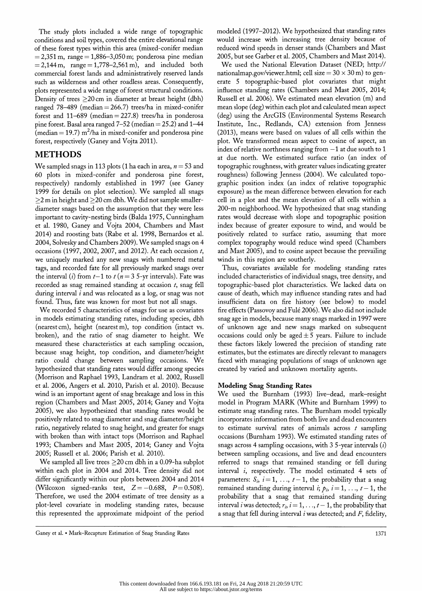The study plots included a wide range of topographic conditions and soil types, covered the entire elevational range of these forest types within this area (mixed-conifer median  $= 2,351 \text{ m}$ , range  $= 1,886 - 3,050 \text{ m}$ ; ponderosa pine median  $= 2,144 \text{ m}$ , range  $= 1,778 - 2,561 \text{ m}$ , and included both commercial forest lands and administratively reserved lands such as wilderness and other roadless areas. Consequently, plots represented a wide range of forest structural conditions. Density of trees  $\geq$  20 cm in diameter at breast height (dbh) ranged 78-489 (median  $= 266.7$ ) trees/ha in mixed-conifer forest and  $11-689$  (median = 227.8) trees/ha in ponderosa pine forest. Basal area ranged  $7-52$  (median  $= 25.2$ ) and  $1-44$ (median  $= 19.7$ ) m<sup>2</sup>/ha in mixed-conifer and ponderosa pine forest, respectively (Ganey and Vojta 2011).

# METHODS

We sampled snags in 113 plots (1 ha each in area,  $n = 53$  and 60 plots in mixed-conifer and ponderosa pine forest, respectively) randomly established in 1997 (see Ganey 1999 for details on plot selection). We sampled all snags  $\geq$ 2 m in height and  $\geq$ 20 cm dbh. We did not sample smaller diameter snags based on the assumption that they were less important to cavity-nesting birds (Balda 1975, Cunningham et al. 1980, Ganey and Vojta 2004, Chambers and Mast 2014) and roosting bats (Rabe et al. 1998, Bernardos et al. 2004, Solvesky and Chambers 2009). We sampled snags on 4 occasions (1997, 2002, 2007, and 2012). At each occasion t, we uniquely marked any new snags with numbered metal tags, and recorded fate for all previously marked snags over the interval (i) from  $t-1$  to  $t (n = 3 5$ -yr intervals). Fate was recorded as snag remained standing at occasion  $t$ , snag fell during interval  $i$  and was relocated as a log, or snag was not found. Thus, fate was known for most but not all snags.

 We recorded 5 characteristics of snags for use as covariates in models estimating standing rates, including species, dbh (nearest cm), height (nearest m), top condition (intact vs. broken), and the ratio of snag diameter to height. We measured these characteristics at each sampling occasion, because snag height, top condition, and diameter/height ratio could change between sampling occasions. We hypothesized that standing rates would differ among species (Morrison and Raphael 1993, Landram et al. 2002, Russell et al. 2006, Angers et al. 2010, Parish et al. 2010). Because wind is an important agent of snag breakage and loss in this region (Chambers and Mast 2005, 2014; Ganey and Vojta 2005), we also hypothesized that standing rates would be positively related to snag diameter and snag diameter/height ratio, negatively related to snag height, and greater for snags with broken than with intact tops (Morrison and Raphael 1993; Chambers and Mast 2005, 2014; Ganey and Vojta 2005; Russell et al. 2006; Parish et al. 2010).

We sampled all live trees  $\geq$ 20 cm dbh in a 0.09-ha subplot within each plot in 2004 and 2014. Tree density did not differ significantly within our plots between 2004 and 2014 (Wilcoxon signed-ranks test,  $Z = -0.688$ ,  $P = 0.508$ ). Therefore, we used the 2004 estimate of tree density as a plot-level covariate in modeling standing rates, because this represented the approximate midpoint of the period

 modeled (1997-2012). We hypothesized that standing rates would increase with increasing tree density because of reduced wind speeds in denser stands (Chambers and Mast 2005, but see Garber et al. 2005, Chambers and Mast 2014).

 We used the National Elevation Dataset (NED; http:// nationalmap.gov/viewer.html; cell size =  $30 \times 30$  m) to gen erate 5 topographic-based plot covariates that might influence standing rates (Chambers and Mast 2005, 2014; Russell et al. 2006). We estimated mean elevation (m) and mean slope (deg) within each plot and calculated mean aspect (deg) using the ArcGIS (Environmental Systems Research Institute, Inc., Redlands, CA) extension from Jenness (2013), means were based on values of all cells within the plot. We transformed mean aspect to cosine of aspect, an index of relative northness ranging from  $-1$  at due south to 1 at due north. We estimated surface ratio (an index of topographic roughness, with greater values indicating greater roughness) following Jenness (2004). We calculated topo graphic position index (an index of relative topographic exposure) as the mean difference between elevation for each cell in a plot and the mean elevation of all cells within a 200-m neighborhood. We hypothesized that snag standing rates would decrease with slope and topographic position index because of greater exposure to wind, and would be positively related to surface ratio, assuming that more complex topography would reduce wind speed (Chambers and Mast 2005), and to cosine aspect because the prevailing winds in this region are southerly.

 Thus, covariates available for modeling standing rates included characteristics of individual snags, tree density, and topographic-based plot characteristics. We lacked data on cause of death, which may influence standing rates and had insufficient data on fire history (see below) to model fire effects (Passovoy and Fulé 2006). We also did not include snag age in models, because many snags marked in 1997 were of unknown age and new snags marked on subsequent occasions could only be aged  $\pm 5$  years. Failure to include these factors likely lowered the precision of standing rate estimates, but the estimates are directly relevant to managers faced with managing populations of snags of unknown age created by varied and unknown mortality agents.

# Modeling Snag Standing Rates

 We used the Burnham (1993) live-dead, mark-resight model in Program MARK (White and Burnham 1999) to estimate snag standing rates. The Burnham model typically incorporates information from both live and dead encounters to estimate survival rates of animals across  $t$  sampling occasions (Burnham 1993). We estimated standing rates of snags across 4 sampling occasions, with  $35$ -year intervals  $(i)$  between sampling occasions, and live and dead encounters referred to snags that remained standing or fell during interval i, respectively. The model estimated 4 sets of parameters:  $S_i$ ,  $i = 1, \ldots, t-1$ , the probability that a snag remained standing during interval  $i; p_i$ ,  $i = 1, ..., t - 1$ , the probability that a snag that remained standing during interval *i* was detected;  $r_i$ ,  $i = 1, \ldots, t-1$ , the probability that a snag that fell during interval  $i$  was detected; and  $F$ , fidelity,

Ganey et al. • Mark-Recapture Estimation of Snag Standing Rates 1371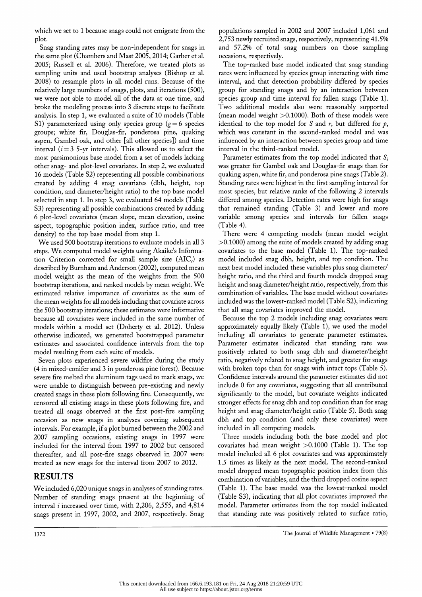which we set to 1 because snags could not emigrate from the plot.

 Snag standing rates may be non-independent for snags in the same plot (Chambers and Mast 2005,2014; Garber et al. 2005; Russell et al. 2006). Therefore, we treated plots as sampling units and used bootstrap analyses (Bishop et al. 2008) to resample plots in all model runs. Because of the relatively large numbers of snags, plots, and iterations (500), we were not able to model all of the data at one time, and broke the modeling process into 3 discrete steps to facilitate analysis. In step 1, we evaluated a suite of 10 models (Table S1) parameterized using only species group  $(g = 6$  species groups; white fir, Douglas-fir, ponderosa pine, quaking aspen, Gambel oak, and other [all other species]) and time interval  $(i=3$  5-yr intervals). This allowed us to select the most parsimonious base model from a set of models lacking other snag- and plot-level covariates. In step 2, we evaluated 16 models (Table S2) representing all possible combinations created by adding 4 snag covariates (dbh, height, top condition, and diameter/height ratio) to the top base model selected in step 1. In step 3, we evaluated 64 models (Table S3) representing all possible combinations created by adding 6 plot-level covariates (mean slope, mean elevation, cosine aspect, topographic position index, surface ratio, and tree density) to the top base model from step 1.

 We used 500 bootstrap iterations to evaluate models in all 3 steps. We computed model weights using Akaike's Informa tion Criterion corrected for small sample size  $(AIC<sub>c</sub>)$  as described by Burnham and Anderson (2002), computed mean model weight as the mean of the weights from the 500 bootstrap iterations, and ranked models by mean weight. We estimated relative importance of covariates as the sum of the mean weights for all models including that covariate across the 500 bootstrap iterations; these estimates were informative because all covariates were included in the same number of models within a model set (Doherty et al. 2012). Unless otherwise indicated, we generated bootstrapped parameter estimates and associated confidence intervals from the top model resulting from each suite of models.

 Seven plots experienced severe wildfire during the study (4 in mixed-conifer and 3 in ponderosa pine forest). Because severe fire melted the aluminum tags used to mark snags, we were unable to distinguish between pre-existing and newly created snags in these plots following fire. Consequently, we censored all existing snags in these plots following fire, and treated all snags observed at the first post-fire sampling occasion as new snags in analyses covering subsequent intervals. For example, if a plot burned between the 2002 and 2007 sampling occasions, existing snags in 1997 were included for the interval from 1997 to 2002 but censored thereafter, and all post-fire snags observed in 2007 were treated as new snags for the interval from 2007 to 2012.

# RESULTS

 We included 6,020 unique snags in analyses of standing rates. Number of standing snags present at the beginning of interval  $i$  increased over time, with 2,206, 2,555, and 4,814 snags present in 1997, 2002, and 2007, respectively. Snag

 populations sampled in 2002 and 2007 included 1,061 and 2,753 newly recruited snags, respectively, representing 41.5% and 57.2% of total snag numbers on those sampling occasions, respectively.

 The top-ranked base model indicated that snag standing rates were influenced by species group interacting with time interval, and that detection probability differed by species group for standing snags and by an interaction between species group and time interval for fallen snags (Table 1). Two additional models also were reasonably supported (mean model weight >0.1000). Both of these models were identical to the top model for S and  $r$ , but differed for  $p$ , which was constant in the second-ranked model and was influenced by an interaction between species group and time interval in the third-ranked model.

Parameter estimates from the top model indicated that  $S_i$  was greater for Gambel oak and Douglas-fir snags than for quaking aspen, white fir, and ponderosa pine snags (Table 2). Standing rates were highest in the first sampling interval for most species, but relative ranks of the following 2 intervals differed among species. Detection rates were high for snags that remained standing (Table 3) and lower and more variable among species and intervals for fallen snags (Table 4).

 There were 4 competing models (mean model weight >0.1000) among the suite of models created by adding snag covariates to the base model (Table 1). The top-ranked model included snag dbh, height, and top condition. The next best model included these variables plus snag diameter/ height ratio, and the third and fourth models dropped snag height and snag diameter/height ratio, respectively, from this combination of variables. The base model without covariates included was the lowest-ranked model (Table S2), indicating that all snag covariates improved the model.

 Because the top 2 models including snag covariates were approximately equally likely (Table 1), we used the model including all covariates to generate parameter estimates. Parameter estimates indicated that standing rate was positively related to both snag dbh and diameter/height ratio, negatively related to snag height, and greater for snags with broken tops than for snags with intact tops (Table 5). Confidence intervals around the parameter estimates did not include 0 for any covariates, suggesting that all contributed significantly to the model, but covariate weights indicated stronger effects for snag dbh and top condition than for snag height and snag diameter/height ratio (Table 5). Both snag dbh and top condition (and only these covariates) were included in all competing models.

 Three models including both the base model and plot covariates had mean weight >0.1000 (Table 1). The top model included all 6 plot covariates and was approximately 1.5 times as likely as the next model. The second-ranked model dropped mean topographic position index from this combination of variables, and the third dropped cosine aspect (Table 1). The base model was the lowest-ranked model (Table S3), indicating that all plot covariates improved the model. Parameter estimates from the top model indicated that standing rate was positively related to surface ratio,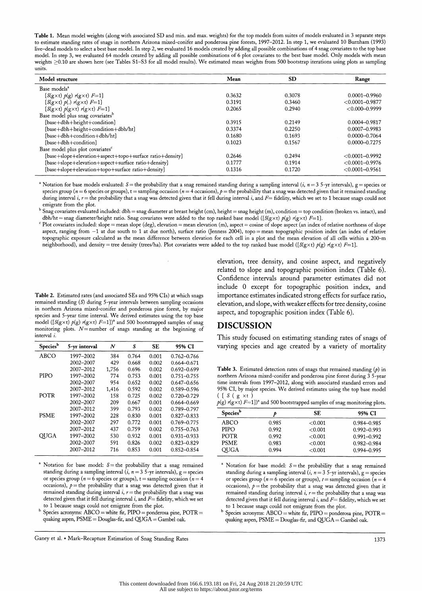Table 1. Mean model weights (along with associated SD and min. and max. weights) for the top models from suites of models evaluated in 3 separate steps to estimate standing rates of snags in northern Arizona mixed-conifer and ponderosa pine forests, 1997-2012. In step 1, we evaluated 10 Burnham (1993) live-dead models to select a best base model. In step 2, we evaluated 16 models created by adding all possible combinations of 4 snag covariates to the top base model. In step 3, we evaluated 64 models created by adding all possible combinations of 6 plot covariates to the best base model. Only models with mean weights  $\geq 0.10$  are shown here (see Tables S1-S3 for all model results). We estimated mean weights from 500 bootstrap iterations using plots as sampling units.

| Model structure                                               | Mean   | <b>SD</b> | Range               |
|---------------------------------------------------------------|--------|-----------|---------------------|
| Base models <sup>a</sup>                                      |        |           |                     |
| $\{S(g\times t) \not\sim (g) \rvert g \times t) \rvert F=1\}$ | 0.3632 | 0.3078    | $0.0001 - 0.9960$   |
| $\{S(g\times t) \not\sim o(.) \rvert g \times t \rvert F=1\}$ | 0.3191 | 0.3460    | $< 0.0001 - 0.9877$ |
| $\{S(g \times t) \ p(g \times t) \ r(g \times t) \ F = 1\}$   | 0.2065 | 0.2940    | $< 0.000 - 0.9999$  |
| Base model plus snag covariates <sup>b</sup>                  |        |           |                     |
| {base+dbh+height+condition}                                   | 0.3915 | 0.2149    | 0.0004-0.9817       |
| {base+dbh+height+condition+dbh/ht}                            | 0.3374 | 0.2250    | $0.0007 - 0.9983$   |
| {base+dbh+condition+dbh/ht}                                   | 0.1680 | 0.1693    | 0.0000-0.7064       |
| {base+dbh+condition}                                          | 0.1023 | 0.1567    | $0.0000 - 0.7275$   |
| Base model plus plot covariates <sup>c</sup>                  |        |           |                     |
| {base+slope+elevation+aspect+topo+surface ratio+density}      | 0.2646 | 0.2494    | $< 0.0001 - 0.9992$ |
| {base+slope+elevation+aspect+surface ratio+density}           | 0.1777 | 0.1914    | $< 0.0001 - 0.9976$ |
| {base+slope+elevation+topo+surface ratio+density}             | 0.1316 | 0.1720    | $< 0.0001 - 0.9561$ |

<sup>a</sup> Notation for base models evaluated:  $S$  = the probability that a snag remained standing during a sampling interval (*i*,  $n = 35$ -yr intervals), g = species or species group ( $n = 6$  species or groups),  $t =$  sampling occasion ( $n = 4$  occasions),  $p =$  the probability that a snag was detected given that it remained standing during interval i,  $r =$  the probability that a snag was detected given that it fell during interval i, and  $F =$  fidelity, which we set to 1 because snags could not emigrate from the plot.

 $^{\rm b}$  Snag covariates evaluated included: dbh = snag diameter at breast height (cm), height = snag height (m), condition = top condition (broken vs. intact), and dbh/ht = snag diameter/height ratio. Snag covariates were added to the top ranked base model ( $S(g \times t)$   $p(g)$   $r(g \times t)$   $F=1$ ).

<sup>c</sup> Plot covariates included: slope = mean slope (deg), elevation = mean elevation (m), aspect = cosine of slope aspect (an index of relative northness of slope aspect, ranging from —1 at due south to 1 at due north), surface ratio (Jenness 2004), topo = mean topographic position index (an index of relative topographic exposure calculated as the mean difference between elevation for each cell in a plot and the mean elevation of all cells within a 200-m neighborhood), and density = tree density (trees/ha). Plot covariates were added to the top ranked base model ({S(gxt)  $\rho(g)$   $r(g \times t)$  F=1}.

 Table 2. Estimated rates (and associated SEs and 95% CIs) at which snags remained standing (S) during 5-year intervals between sampling occasions in northern Arizona mixed-conifer and ponderosa pine forest, by major species and 5-year time interval. We derived estimates using the top base model ( ${S(g \times t) p(g) r(g \times t) F=1}$ )<sup>a</sup> and 500 bootstrapped samples of snag monitoring plots.  $N=$  number of snags standing at the beginning of interval i.

| 5-yr interval | N     | S     | SE.   | 95% CI          |
|---------------|-------|-------|-------|-----------------|
| 1997–2002     | 384   | 0.764 | 0.001 | 0.762–0.766     |
| 2002-2007     | 429   | 0.668 | 0.002 | $0.664 - 0.671$ |
| 2007-2012     | 1,756 | 0.696 | 0.002 | $0.692 - 0.699$ |
| 1997-2002     | 774   | 0.753 | 0.001 | 0.751-0.755     |
| 2002-2007     | 954   | 0.652 | 0.002 | $0.647 - 0.656$ |
| 2007-2012     | 1,416 | 0.592 | 0.002 | 0.589-0.596     |
| 1997-2002     | 158   | 0.725 | 0.002 | 0.720-0.729     |
| 2002-2007     | 209   | 0.667 | 0.001 | 0.664-0.669     |
| 2007-2012     | 399   | 0.793 | 0.002 | 0.789-0.797     |
| 1997-2002     | 228   | 0.830 | 0.001 | $0.827 - 0.833$ |
| 2002-2007     | 297   | 0.772 | 0.001 | 0.769-0.775     |
| 2007-2012     | 437   | 0.759 | 0.002 | $0.755 - 0.763$ |
| 1997-2002     | 530   | 0.932 | 0.001 | $0.931 - 0.933$ |
| 2002-2007     | 591   | 0.826 | 0.002 | $0.823 - 0.829$ |
| 2007-2012     | 716   | 0.853 | 0.001 | $0.852 - 0.854$ |
|               |       |       |       |                 |

<sup>a</sup> Notation for base model:  $S =$  the probability that a snag remained standing during a sampling interval  $(i, n = 35$ -yr intervals), g = species or species group ( $n = 6$  species or groups),  $t =$  sampling occasion ( $n = 4$ ) occasions),  $p$  = the probability that a snag was detected given that it remained standing during interval  $i$ ,  $r$  = the probability that a snag was detected given that it fell during interval  $i$ , and  $F=$  fidelity, which we set to 1 because snags could not emigrate from the plot.

 $b$  Species acronyms: ABCO = white fir, PIPO = ponderosa pine, POTR = quaking aspen,  $\text{PSME} = \text{Douglas-fir}$ , and  $\text{QUGA} = \text{Gambel oak}$ .

Ganey et al. • Mark-Recapture Estimation of Snag Standing Rates 1373

 elevation, tree density, and cosine aspect, and negatively related to slope and topographic position index (Table 6). Confidence intervals around parameter estimates did not include 0 except for topographic position index, and importance estimates indicated strong effects for surface ratio, elevation, and slope, with weaker effects for tree density, cosine aspect, and topographic position index (Table 6).

#### DISCUSSION

 This study focused on estimating standing rates of snags of varying species and age created by a variety of mortality

Table 3. Estimated detection rates of snags that remained standing  $(p)$  in northern Arizona mixed-conifer and ponderosa pine forest during 3 5-year time intervals from 1997-2012, along with associated standard errors and 95% CI, by major species. We derived estimates using the top base model  $($  {  $S$  (  $g \times t$  )

| $p(g)$ $r(g \times t)$ $F=1$ }) <sup>a</sup> and 500 bootstrapped samples of snag monitoring plots. |
|-----------------------------------------------------------------------------------------------------|
|-----------------------------------------------------------------------------------------------------|

| Species <sup>b</sup> |       | SE      | 95% CI          |
|----------------------|-------|---------|-----------------|
| ABCO                 | 0.985 | < 0.001 | 0.984-0.985     |
| <b>PIPO</b>          | 0.992 | < 0.001 | $0.992 - 0.993$ |
| <b>POTR</b>          | 0.992 | < 0.001 | $0.991 - 0.992$ |
| <b>PSME</b>          | 0.983 | < 0.001 | $0.982 - 0.984$ |
| <b>OUGA</b>          | 0.994 | < 0.001 | 0.994-0.995     |
|                      |       |         |                 |

<sup>a</sup> Notation for base model:  $S =$  the probability that a snag remained standing during a sampling interval (*i*,  $n = 3$  5-yr intervals),  $g =$  species or species group ( $n = 6$  species or groups),  $t =$  sampling occasion ( $n = 4$ ) occasions),  $p =$  the probability that a snag was detected given that it remained standing during interval  $i$ ,  $r$  = the probability that a snag was detected given that it fell during interval  $i$ , and  $F=$  fidelity, which we set to 1 because snags could not emigrate from the plot.

 $^{b}$  Species acronyms: ABCO = white fir, PIPO = ponderosa pine, POTR = quaking aspen,  $PSME =$  Douglas-fir, and  $QUGA =$  Gambel oak.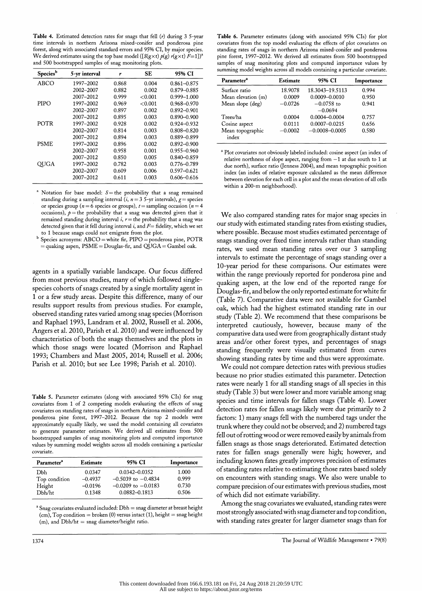Table 4. Estimated detection rates for snags that fell  $(r)$  during 3 5-year time intervals in northern Arizona mixed-conifer and ponderosa pine forest, along with associated standard errors and 95% CI, by major species. forest, along with associated standard errors and 95% CI, by major species. We derived estimates using the top base model ( $\log \frac{x}{y}$  /g)  $\log x$  if  $I=1$  if and 500 bootstrapped samples of snag monitoring plots.

| Species <sup>b</sup> | 5-yr interval | r     | SE      | 95% CI          |
|----------------------|---------------|-------|---------|-----------------|
| ABCO                 | 1997–2002     | 0.868 | 0.004   | $0.861 - 0.875$ |
|                      | 2002-2007     | 0.882 | 0.002   | 0.879-0.885     |
|                      | 2007-2012     | 0.999 | < 0.001 | 0.999-1.000     |
| PIPO                 | 1997–2002     | 0.969 | < 0.001 | 0.968-0.970     |
|                      | 2002-2007     | 0.897 | 0.002   | $0.892 - 0.901$ |
|                      | 2007-2012     | 0.895 | 0.003   | 0.890-0.900     |
| <b>POTR</b>          | 1997–2002     | 0.928 | 0.002   | 0.924-0.932     |
|                      | 2002-2007     | 0.814 | 0.003   | 0.808-0.820     |
|                      | 2007-2012     | 0.894 | 0.003   | 0.889-0.899     |
| <b>PSME</b>          | 1997-2002     | 0.896 | 0.002   | $0.892 - 0.900$ |
|                      | 2002-2007     | 0.958 | 0.001   | 0.955-0.960     |
|                      | 2007-2012     | 0.850 | 0.005   | 0.840-0.859     |
| OUGA                 | 1997-2002     | 0.782 | 0.003   | $0.776 - 0.789$ |
|                      | 2002-2007     | 0.609 | 0.006   | $0.597 - 0.621$ |
|                      | 2007–2012     | 0.611 | 0.003   | 0.606–0.616     |

Notation for base model:  $S =$  the probability that a snag remained standing during a sampling interval  $(i, n = 35$ -yr intervals),  $g =$  species or species group ( $n = 6$  species or groups),  $t =$  sampling occasion ( $n = 4$ occasions),  $\rho =$  the probability that a snag was detected given that it remained standing during interval  $i, r =$  the probability that a snag was detected given that it fell during interval  $i$ , and  $F=$  fidelity, which we set to 1 because snags could not emigrate from the plot.

Species acronyms: ABCO = white fir, PIPO = ponderosa pine, POTR  $=$  quaking aspen,  $PSME =$  Douglas-fir, and  $QUGA =$  Gambel oak.

 agents in a spatially variable landscape. Our focus differed from most previous studies, many of which followed single species cohorts of snags created by a single mortality agent in 1 or a few study areas. Despite this difference, many of our results support results from previous studies. For example, observed standing rates varied among snag species (Morrison and Raphael 1993, Landram et al. 2002, Russell et al. 2006, Angers et al. 2010, Parish et al. 2010) and were influenced by characteristics of both the snags themselves and the plots in which those snags were located (Morrison and Raphael 1993; Chambers and Mast 2005, 2014; Russell et al. 2006; Parish et al. 2010; but see Lee 1998; Parish et al. 2010).

 Table 5. Parameter estimates (along with associated 95% CIs) for snag covariates from 1 of 2 competing models evaluating the effects of snag covariates on standing rates of snags in northern Arizona mixed-conifer and ponderosa pine forest, 1997-2012. Because the top 2 models were approximately equally likely, we used the model containing all covariates to generate parameter estimates. We derived all estimates from 500 bootstrapped samples of snag monitoring plots and computed importance values by summing model weights across all models containing a particular covariate.

| Parameter <sup>a</sup> | Estimate  | 95% CI                 | Importance |
|------------------------|-----------|------------------------|------------|
| Dbh                    | 0.0347    | $0.0342 - 0.0352$      | 1.000      |
| Top condition          | $-0.4937$ | $-0.5039$ to $-0.4834$ | 0.999      |
| Height                 | $-0.0196$ | $-0.0209$ to $-0.0183$ | 0.730      |
| D <sub>bh/ht</sub>     | 0.1348    | 0.0882-0.1813          | 0.506      |

<sup>a</sup> Snag covariates evaluated included: Dbh = snag diameter at breast height  $(cm)$ , Top condition = broken (0) versus intact (1), height = snag height  $(m)$ , and  $Dbh/ht =$  snag diameter/height ratio.

 Table 6. Parameter estimates (along with associated 95% CIs) for plot covariates from the top model evaluating the effects of plot covariates on standing rates of snags in northern Arizona mixed-conifer and ponderosa pine forest, 1997-2012. We derived all estimates from 500 bootstrapped samples of snag monitoring plots and computed importance values by summing model weights across all models containing a particular covariate.

| Parameter <sup>a</sup> | Estimate  | 95% CI             | Importance |
|------------------------|-----------|--------------------|------------|
| Surface ratio          | 18.9078   | 18.3043-19.5113    | 0.994      |
| Mean elevation (m)     | 0.0009    | $0.0009 - 0.0010$  | 0.950      |
| Mean slope (deg)       | $-0.0726$ | $-0.0758$ to       | 0.941      |
|                        |           | $-0.0694$          |            |
| Trees/ha               | 0.0004    | 0.0004-0.0004      | 0.757      |
| Cosine aspect          | 0.0111    | $0.0007 - 0.0215$  | 0.656      |
| Mean topographic       | $-0.0002$ | $-0.0008 - 0.0005$ | 0.580      |
| index                  |           |                    |            |

 a Plot covariates not obviously labeled included: cosine aspect (an index of relative northness of slope aspect, ranging from  $-1$  at due south to 1 at due north), surface ratio (Jenness 2004), and mean topographic position index (an index of relative exposure calculated as the mean difference between elevation for each cell in a plot and the mean elevation of all cells within a 200-m neighborhood).

 We also compared standing rates for major snag species in our study with estimated standing rates from existing studies, where possible. Because most studies estimated percentage of snags standing over fixed time intervals rather than standing rates, we used mean standing rates over our 3 sampling intervals to estimate the percentage of snags standing over a 10-year period for these comparisons. Our estimates were within the range previously reported for ponderosa pine and quaking aspen, at the low end of the reported range for Douglas-fir, and below the only reported estimate for white fir (Table 7). Comparative data were not available for Gambel oak, which had the highest estimated standing rate in our study (Table 2). We recommend that these comparisons be interpreted cautiously, however, because many of the comparative data used were from geographically distant study areas and/or other forest types, and percentages of snags standing frequently were visually estimated from curves showing standing rates by time and thus were approximate.

 We could not compare detection rates with previous studies because no prior studies estimated this parameter. Detection rates were nearly 1 for all standing snags of all species in this study (Table 3) but were lower and more variable among snag species and time intervals for fallen snags (Table 4). Lower detection rates for fallen snags likely were due primarily to 2 factors: 1) many snags fell with the numbered tags under the trunk where they could not be observed; and 2) numbered tags fell out of rotting wood or were removed easily by animals from fallen snags as those snags deteriorated. Estimated detection rates for fallen snags generally were high; however, and including known fates greatly improves precision of estimates of standing rates relative to estimating those rates based solely on encounters with standing snags. We also were unable to compare precision of our estimates with previous studies, most of which did not estimate variability.

 Among the snag covariates we evaluated, standing rates were most strongly associated with snag diameter and top condition, with standing rates greater for larger diameter snags than for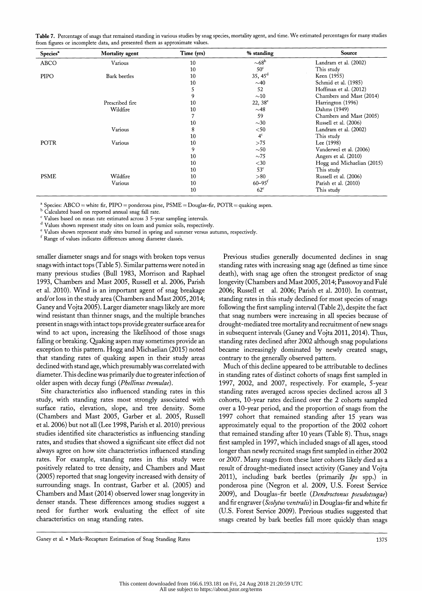| Table 7. Percentage of snags that remained standing in various studies by snag species, mortality agent, and time. We estimated percentages for many studies |  |
|--------------------------------------------------------------------------------------------------------------------------------------------------------------|--|
| from figures or incomplete data, and presented them as approximate values.                                                                                   |  |

| Species <sup>a</sup> | Mortality agent | Time (yrs) | % standing             | Source                     |
|----------------------|-----------------|------------|------------------------|----------------------------|
| <b>ABCO</b>          | Various         | 10         | $\sim$ 68 <sup>b</sup> | Landram et al. (2002)      |
|                      |                 | 10         | 50 <sup>c</sup>        | This study                 |
| PIPO                 | Bark beetles    | 10         | $35, 45^{\rm d}$       | Keen (1955)                |
|                      |                 | 10         | $\sim$ 40              | Schmid et al. (1985)       |
|                      |                 | 5          | 52                     | Hoffman et al. (2012)      |
|                      |                 | 9          | $\sim$ 10              | Chambers and Mast (2014)   |
|                      | Prescribed fire | 10         | $22, 38^e$             | Harrington (1996)          |
|                      | Wildfire        | 10         | $\sim$ 48              | Dahms (1949)               |
|                      |                 | 7          | 59                     | Chambers and Mast (2005)   |
|                      |                 | 10         | $\sim$ 30              | Russell et al. (2006)      |
|                      | Various         | 8          | $50$                   | Landram et al. (2002)      |
|                      |                 | 10         | 4 <sup>c</sup>         | This study                 |
| POTR                 | Various         | 10         | >75                    | Lee (1998)                 |
|                      |                 | 9          | $\sim$ 50              | Vanderwel et al. (2006)    |
|                      |                 | 10         | $\sim75$               | Angers et al. (2010)       |
|                      |                 | 10         | $<$ 30                 | Hogg and Michaelian (2015) |
|                      |                 | 10         | 53 <sup>c</sup>        | This study                 |
| <b>PSME</b>          | Wildfire        | 10         | > 80                   | Russell et al. (2006)      |
|                      | Various         | 10         | $60 - 95$ <sup>t</sup> | Parish et al. (2010)       |
|                      |                 | 10         | $62^{\circ}$           | This study                 |

<sup>a</sup> Species:  $\text{ABCO} = \text{white}}$  fir, PIPO = ponderosa pine, PSME = Douglas-fir, POTR = quaking aspen.

b Calculated based on reported annual snag fall rate.

Values based on mean rate estimated across 3 5-year sampling intervals.

d Values shown represent study sites on loam and pumice soils, respectively.

e Values shown represent study sites burned in spring and summer versus autumn, respectively.

f Range of values indicates differences among diameter classes.

 smaller diameter snags and for snags with broken tops versus snags with intact tops (Table 5). Similar patterns were noted in many previous studies (Bull 1983, Morrison and Raphael 1993, Chambers and Mast 2005, Russell et al. 2006, Parish et al. 2010). Wind is an important agent of snag breakage and/or loss in the study area (Chambers and Mast 2005,2014; Ganey and Vojta 2005). Larger diameter snags likely are more wind resistant than thinner snags, and the multiple branches present in snags with intact tops provide greater surface area for wind to act upon, increasing the likelihood of those snags falling or breaking. Quaking aspen may sometimes provide an exception to this pattern. Hogg and Michaelian (2015) noted that standing rates of quaking aspen in their study areas declined with stand age, which presumably was correlated with diameter. This decline was primarily due to greater infection of older aspen with decay fungi (Phellinus tremulae).

 Site characteristics also influenced standing rates in this study, with standing rates most strongly associated with surface ratio, elevation, slope, and tree density. Some (Chambers and Mast 2005, Garber et al. 2005, Russell et al. 2006) but not all (Lee 1998, Parish et al. 2010) previous studies identified site characteristics as influencing standing rates, and studies that showed a significant site effect did not always agree on how site characteristics influenced standing rates. For example, standing rates in this study were positively related to tree density, and Chambers and Mast (2005) reported that snag longevity increased with density of surrounding snags. In contrast, Garber et al. (2005) and Chambers and Mast (2014) observed lower snag longevity in denser stands. These differences among studies suggest a need for further work evaluating the effect of site characteristics on snag standing rates.

 Previous studies generally documented declines in snag standing rates with increasing snag age (defined as time since death), with snag age often the strongest predictor of snag longevity (Chambers and Mast 2005,2014; Passovoy and Fulé 2006; Russell et al. 2006; Parish et al. 2010). In contrast, standing rates in this study declined for most species of snags following the first sampling interval (Table 2), despite the fact that snag numbers were increasing in all species because of drought-mediated tree mortality and recruitment of new snags in subsequent intervals (Ganey and Vojta 2011, 2014). Thus, standing rates declined after 2002 although snag populations became increasingly dominated by newly created snags, contrary to the generally observed pattern.

Much of this decline appeared to be attributable to declines in standing rates of distinct cohorts of snags first sampled in 1997, 2002, and 2007, respectively. For example, 5-year standing rates averaged across species declined across all 3 cohorts, 10-year rates declined over the 2 cohorts sampled over a 10-year period, and the proportion of snags from the 1997 cohort that remained standing after 15 years was approximately equal to the proportion of the 2002 cohort that remained standing after 10 years (Table 8). Thus, snags first sampled in 1997, which included snags of all ages, stood longer than newly recruited snags first sampled in either 2002 or 2007. Many snags from these later cohorts likely died as a result of drought-mediated insect activity (Ganey and Vojta 2011), including bark beetles (primarily  $Ips$  spp.) in ponderosa pine (Negron et al. 2009, U.S. Forest Service 2009), and Douglas-fir beetle (Dendroctonus pseudotsugae) and fir engraver (Scolytus ventralis) in Douglas-fir and white fir (U.S. Forest Service 2009). Previous studies suggested that snags created by bark beetles fall more quickly than snags

Ganey et al. • Mark-Recapture Estimation of Snag Standing Rates 1375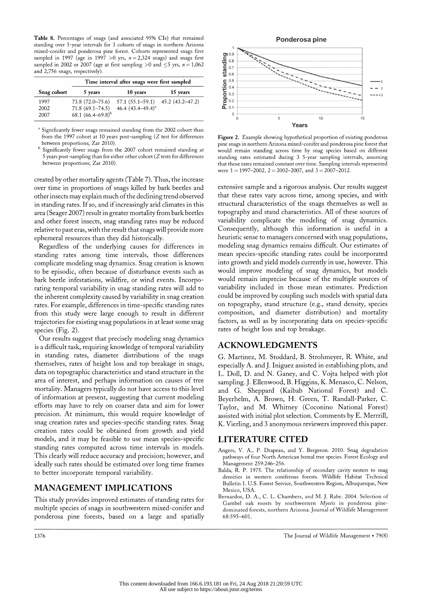Table 8. Percentages of snags (and associated 95% CIs) that remained standing over 5-year intervals for 3 cohorts of snags in northern Arizona mixed-conifer and ponderosa pine forest. Cohorts represented snags first sampled in 1997 (age in 1997 > 0 yrs,  $n = 2,324$  snags) and snags first sampled in 2002 or 2007 (age at first sampling  $>0$  and  $\leq$ 5 yrs,  $n = 1,062$ and 2,756 snags, respectively).

|             | Time interval after snags were first sampled |                                           |          |  |
|-------------|----------------------------------------------|-------------------------------------------|----------|--|
| Snag cohort | 5 years                                      | 10 years                                  | 15 years |  |
| 1997        | $73.8(72.0 - 75.6)$                          | $57.1 (55.1 - 59.1)$ $45.2 (43.2 - 47.2)$ |          |  |
| 2002        | $71.8(69.1 - 74.5)$                          | 46.4 $(43.4 - 49.4)^{a}$                  |          |  |
| 2007        | 68.1 $(66.4 - 69.8)^{b}$                     |                                           |          |  |

<sup>a</sup> Significantly fewer snags remained standing from the 2002 cohort than from the 1997 cohort at 10 years post-sampling (Z test for differences between proportions; Zar 2010).

 b Significantly fewer snags from the 2007 cohort remained standing at 5 years post-sampling than for either other cohort (Z tests for differences between proportions; Zar 2010).

 created by other mortality agents (Table 7). Thus, the increase over time in proportions of snags killed by bark beedes and other insects may explain much of the declining trend observed in standing rates. If so, and if increasingly arid climates in this area (Seager 2007) result in greater mortality from bark beetles and other forest insects, snag standing rates may be reduced relative to past eras, with the result that snags will provide more ephemeral resources than they did historically.

 Regardless of the underlying causes for differences in standing rates among time intervals, those differences complicate modeling snag dynamics. Snag creation is known to be episodic, often because of disturbance events such as bark beetle infestations, wildfire, or wind events. Incorpo rating temporal variability in snag standing rates will add to the inherent complexity caused by variability in snag creation rates. For example, differences in time-specific standing rates from this study were large enough to result in different trajectories for existing snag populations in at least some snag species (Fig.  $2$ ).

 Our results suggest that precisely modeling snag dynamics is a difficult task, requiring knowledge of temporal variability in standing rates, diameter distributions of the snags themselves, rates of height loss and top breakage in snags, data on topographic characteristics and stand structure in the area of interest, and perhaps information on causes of tree mortality. Managers typically do not have access to this level of information at present, suggesting that current modeling efforts may have to rely on coarser data and aim for lower precision. At minimum, this would require knowledge of snag creation rates and species-specific standing rates. Snag creation rates could be obtained from growth and yield models, and it may be feasible to use mean species-specific standing rates computed across time intervals in models. This clearly will reduce accuracy and precision; however, and ideally such rates should be estimated over long time frames to better incorporate temporal variability.

# MANAGEMENT IMPLICATIONS

 This study provides improved estimates of standing rates for multiple species of snags in southwestern mixed-conifer and ponderosa pine forests, based on a large and spatially



Figure 2. Example showing hypothetical proportion of existing ponderosa pine snags in northern Arizona mixed-conifer and ponderosa pine forest that would remain standing across time by snag species based on different standing rates estimated during 3 5-year sampling intervals, assuming that those rates remained constant over time. Sampling intervals represented were  $1 = 1997 - 2002$ ,  $2 = 2002 - 2007$ , and  $3 = 2007 - 2012$ .

 extensive sample and a rigorous analysis. Our results suggest that these rates vary across time, among species, and with structural characteristics of the snags themselves as well as topography and stand characteristics. All of these sources of variability complicate the modeling of snag dynamics. Consequently, although this information is useful in a heuristic sense to managers concerned with snag populations, modeling snag dynamics remains difficult. Our estimates of mean species-specific standing rates could be incorporated into growth and yield models currently in use, however. This would improve modeling of snag dynamics, but models would remain imprecise because of the multiple sources of variability included in those mean estimates. Prediction could be improved by coupling such models with spatial data on topography, stand structure (e.g., stand density, species composition, and diameter distribution) and mortality factors, as well as by incorporating data on species-specific rates of height loss and top breakage.

# ACKNOWLEDGMENTS

 G. Martinez, M. Stoddard, B. Strohmeyer, R. White, and especially A. and J. Iniguez assisted in establishing plots, and L. Doll, D. and N. Ganey, and C. Vojta helped with plot sampling. J. Ellenwood, B. Higgins, K. Menasco, C. Nelson, and G. Sheppard (Kaibab National Forest) and C. Beyerhelm, A. Brown, H. Green, T. Randall-Parker, C. Taylor, and M. Whitney (Coconino National Forest) assisted with initial plot selection. Comments by E. Merrrill, K. Vierling, and 3 anonymous reviewers improved this paper.

# LITERATURE CITED

- Angers, V. A., P. Drapeau, and Y. Bergeron. 2010. Snag degradation pathways of four North American boreal tree species. Forest Ecology and Management 259:246-256.
- Balda, R. P. 1975. The relationship of secondary cavity nesters to snag densities in western coniferous forests. Wildlife Habitat Technical Bulletin 1. U.S. Forest Service, Southwestern Region, Albuquerque, New Mexico, USA.
- Bernardos, D. A., C. L. Chambers, and M. J. Rabe. 2004. Selection of Gambel oak roosts by southwestern Myotis in ponderosa pine dominated forests, northern Arizona. Journal of Wildlife Management 68:595-601.